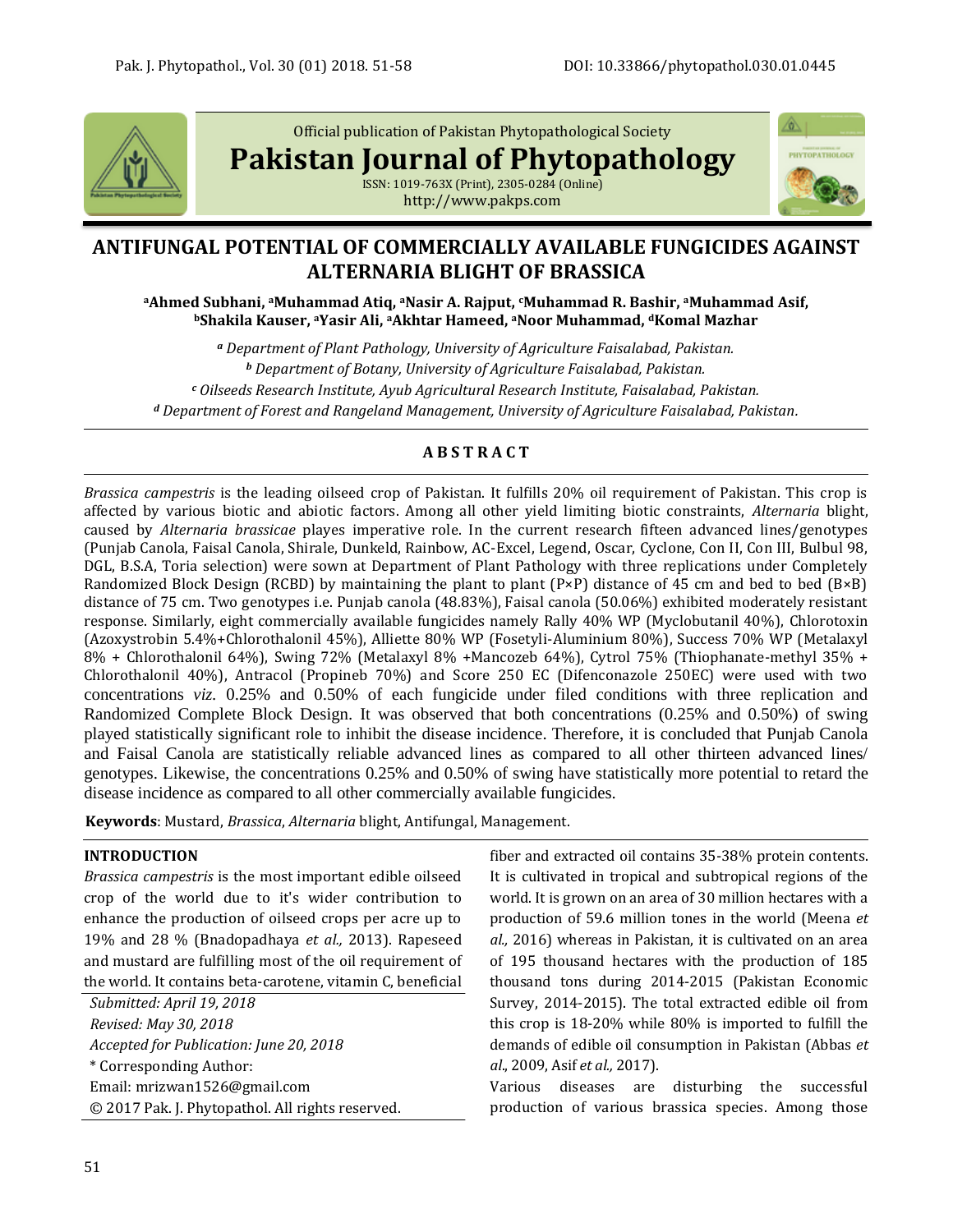

Official publication of Pakistan Phytopathological Society

**Pakistan Journal of Phytopathology**





# **ANTIFUNGAL POTENTIAL OF COMMERCIALLY AVAILABLE FUNGICIDES AGAINST ALTERNARIA BLIGHT OF BRASSICA**

**<sup>a</sup>Ahmed Subhani, aMuhammad Atiq, aNasir A. Rajput, cMuhammad R. Bashir, aMuhammad Asif, <sup>b</sup>Shakila Kauser, aYasir Ali, aAkhtar Hameed, aNoor Muhammad, dKomal Mazhar**

*<sup>a</sup> Department of Plant Pathology, University of Agriculture Faisalabad, Pakistan. <sup>b</sup> Department of Botany, University of Agriculture Faisalabad, Pakistan. <sup>c</sup> Oilseeds Research Institute, Ayub Agricultural Research Institute, Faisalabad, Pakistan. <sup>d</sup> Department of Forest and Rangeland Management, University of Agriculture Faisalabad, Pakistan.*

# **A B S T R A C T**

*Brassica campestris* is the leading oilseed crop of Pakistan. It fulfills 20% oil requirement of Pakistan. This crop is affected by various biotic and abiotic factors. Among all other yield limiting biotic constraints, *Alternaria* blight, caused by *Alternaria brassicae* playes imperative role. In the current research fifteen advanced lines/genotypes (Punjab Canola, Faisal Canola, Shirale, Dunkeld, Rainbow, AC-Excel, Legend, Oscar, Cyclone, Con II, Con III, Bulbul 98, DGL, B.S.A, Toria selection) were sown at Department of Plant Pathology with three replications under Completely Randomized Block Design (RCBD) by maintaining the plant to plant (P×P) distance of 45 cm and bed to bed (B×B) distance of 75 cm. Two genotypes i.e. Punjab canola (48.83%), Faisal canola (50.06%) exhibited moderately resistant response. Similarly, eight commercially available fungicides namely Rally 40% WP (Myclobutanil 40%), Chlorotoxin (Azoxystrobin 5.4%+Chlorothalonil 45%), Alliette 80% WP (Fosetyli-Aluminium 80%), Success 70% WP (Metalaxyl 8% + Chlorothalonil 64%), Swing 72% (Metalaxyl 8% +Mancozeb 64%), Cytrol 75% (Thiophanate-methyl 35% + Chlorothalonil 40%), Antracol (Propineb 70%) and Score 250 EC (Difenconazole 250EC) were used with two concentrations *viz.* 0.25% and 0.50% of each fungicide under filed conditions with three replication and Randomized Complete Block Design. It was observed that both concentrations (0.25% and 0.50%) of swing played statistically significant role to inhibit the disease incidence. Therefore, it is concluded that Punjab Canola and Faisal Canola are statistically reliable advanced lines as compared to all other thirteen advanced lines/ genotypes. Likewise, the concentrations 0.25% and 0.50% of swing have statistically more potential to retard the disease incidence as compared to all other commercially available fungicides.

**Keywords**: Mustard, *Brassica*, *Alternaria* blight, Antifungal, Management.

## **INTRODUCTION**

*Brassica campestris* is the most important edible oilseed crop of the world due to it's wider contribution to enhance the production of oilseed crops per acre up to 19% and 28 % (Bnadopadhaya *et al.,* 2013). Rapeseed and mustard are fulfilling most of the oil requirement of the world. It contains beta-carotene, vitamin C, beneficial

*Submitted: April 19, 2018 Revised: May 30, 2018 Accepted for Publication: June 20, 2018* \* Corresponding Author: Email: [mrizwan1526@gmail.com](mailto:mrizwan1526@gmail.com) © 2017 Pak. J. Phytopathol. All rights reserved. fiber and extracted oil contains 35-38% protein contents. It is cultivated in tropical and subtropical regions of the world. It is grown on an area of 30 million hectares with a production of 59.6 million tones in the world (Meena *et al.,* 2016) whereas in Pakistan, it is cultivated on an area of 195 thousand hectares with the production of 185 thousand tons during 2014-2015 (Pakistan Economic Survey, 2014-2015). The total extracted edible oil from this crop is 18-20% while 80% is imported to fulfill the demands of edible oil consumption in Pakistan (Abbas *et al*., 2009, Asif *et al.,* 2017).

Various diseases are disturbing the successful production of various brassica species. Among those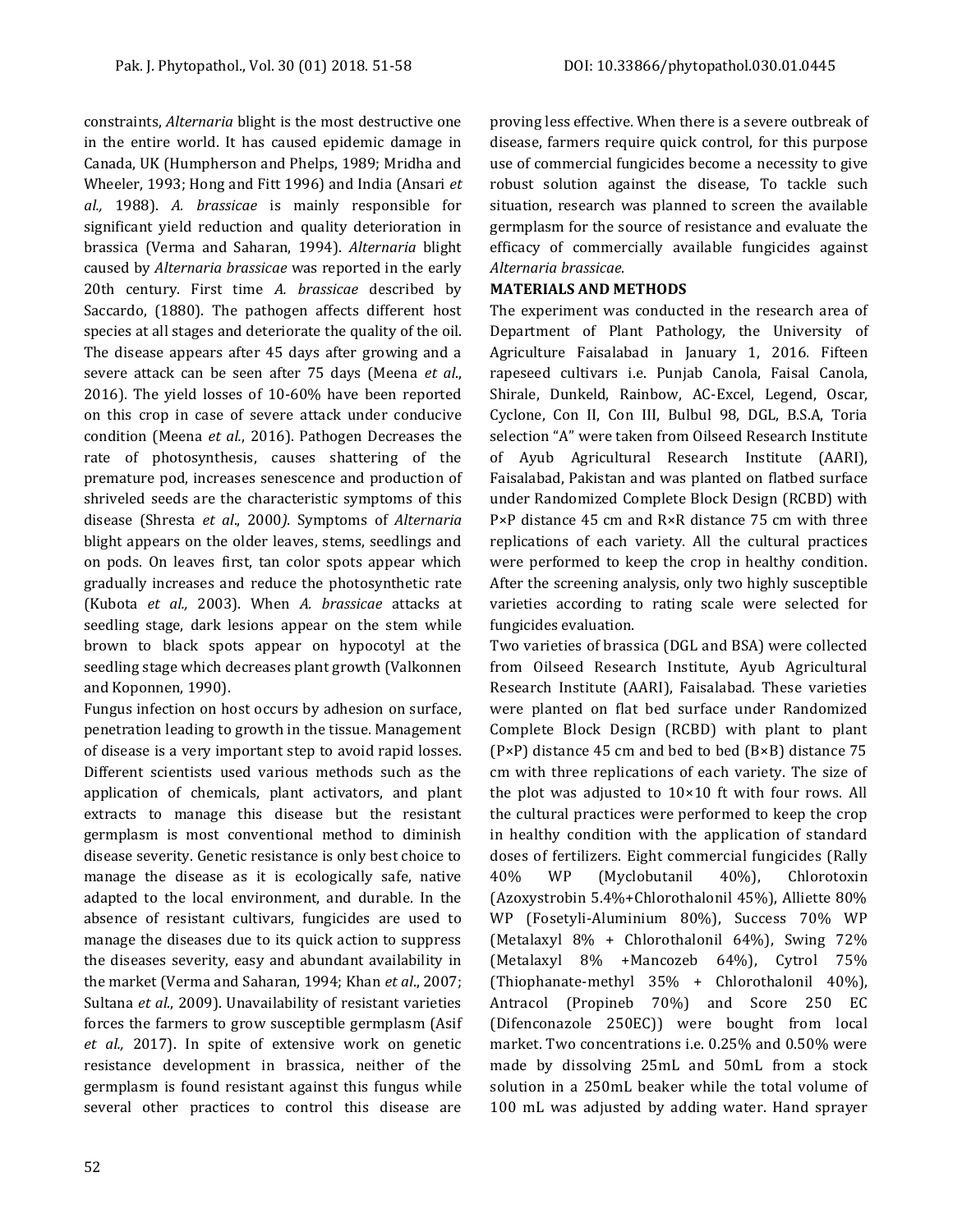constraints, *Alternaria* blight is the most destructive one in the entire world. It has caused epidemic damage in Canada, UK (Humpherson and Phelps, 1989; Mridha and Wheeler, 1993; Hong and Fitt 1996) and India (Ansari *et al.,* 1988). *A. brassicae* is mainly responsible for significant yield reduction and quality deterioration in brassica (Verma and Saharan, 1994). *Alternaria* blight caused by *Alternaria brassicae* was reported in the early 20th century. First time *A. brassicae* described by Saccardo, (1880). The pathogen affects different host species at all stages and deteriorate the quality of the oil. The disease appears after 45 days after growing and a severe attack can be seen after 75 days (Meena *et al*., 2016). The yield losses of 10-60% have been reported on this crop in case of severe attack under conducive condition (Meena *et al.*, 2016). Pathogen Decreases the rate of photosynthesis, causes shattering of the premature pod, increases senescence and production of shriveled seeds are the characteristic symptoms of this disease (Shresta *et al*., 2000*).* Symptoms of *Alternaria* blight appears on the older leaves, stems, seedlings and on pods. On leaves first, tan color spots appear which gradually increases and reduce the photosynthetic rate (Kubota *et al.,* 2003). When *A. brassicae* attacks at seedling stage, dark lesions appear on the stem while brown to black spots appear on hypocotyl at the seedling stage which decreases plant growth (Valkonnen and Koponnen, 1990).

Fungus infection on host occurs by adhesion on surface, penetration leading to growth in the tissue. Management of disease is a very important step to avoid rapid losses. Different scientists used various methods such as the application of chemicals, plant activators, and plant extracts to manage this disease but the resistant germplasm is most conventional method to diminish disease severity. Genetic resistance is only best choice to manage the disease as it is ecologically safe, native adapted to the local environment, and durable. In the absence of resistant cultivars, fungicides are used to manage the diseases due to its quick action to suppress the diseases severity, easy and abundant availability in the market (Verma and Saharan, 1994; Khan *et al*., 2007; Sultana *et al.*, 2009). Unavailability of resistant varieties forces the farmers to grow susceptible germplasm (Asif *et al.,* 2017). In spite of extensive work on genetic resistance development in brassica, neither of the germplasm is found resistant against this fungus while several other practices to control this disease are

proving less effective. When there is a severe outbreak of disease, farmers require quick control, for this purpose use of commercial fungicides become a necessity to give robust solution against the disease, To tackle such situation, research was planned to screen the available germplasm for the source of resistance and evaluate the efficacy of commercially available fungicides against *Alternaria brassicae*.

### **MATERIALS AND METHODS**

The experiment was conducted in the research area of Department of Plant Pathology, the University of Agriculture Faisalabad in January 1, 2016. Fifteen rapeseed cultivars i.e. Punjab Canola, Faisal Canola, Shirale, Dunkeld, Rainbow, AC-Excel, Legend, Oscar, Cyclone, Con II, Con III, Bulbul 98, DGL, B.S.A, Toria selection "A" were taken from Oilseed Research Institute of Ayub Agricultural Research Institute (AARI), Faisalabad, Pakistan and was planted on flatbed surface under Randomized Complete Block Design (RCBD) with P×P distance 45 cm and R×R distance 75 cm with three replications of each variety. All the cultural practices were performed to keep the crop in healthy condition. After the screening analysis, only two highly susceptible varieties according to rating scale were selected for fungicides evaluation.

Two varieties of brassica (DGL and BSA) were collected from Oilseed Research Institute, Ayub Agricultural Research Institute (AARI), Faisalabad. These varieties were planted on flat bed surface under Randomized Complete Block Design (RCBD) with plant to plant (P×P) distance 45 cm and bed to bed (B×B) distance 75 cm with three replications of each variety. The size of the plot was adjusted to 10×10 ft with four rows. All the cultural practices were performed to keep the crop in healthy condition with the application of standard doses of fertilizers. Eight commercial fungicides (Rally 40% WP (Myclobutanil 40%), Chlorotoxin (Azoxystrobin 5.4%+Chlorothalonil 45%), Alliette 80% WP (Fosetyli-Aluminium 80%), Success 70% WP (Metalaxyl 8% + Chlorothalonil 64%), Swing 72% (Metalaxyl 8% +Mancozeb 64%), Cytrol 75% (Thiophanate-methyl 35% + Chlorothalonil 40%), Antracol (Propineb 70%) and Score 250 EC (Difenconazole 250EC)) were bought from local market. Two concentrations i.e. 0.25% and 0.50% were made by dissolving 25mL and 50mL from a stock solution in a 250mL beaker while the total volume of 100 mL was adjusted by adding water. Hand sprayer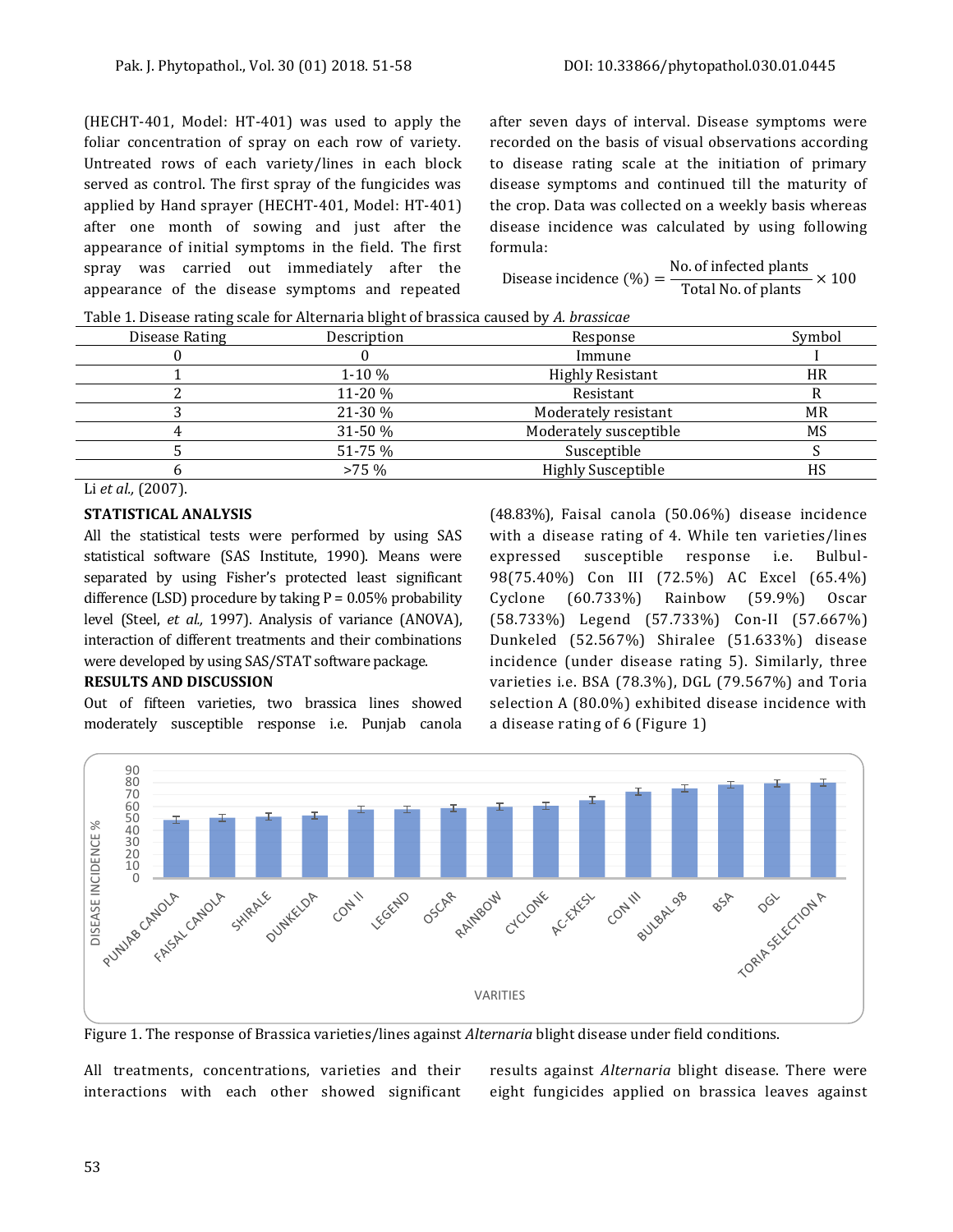(HECHT-401, Model: HT-401) was used to apply the foliar concentration of spray on each row of variety. Untreated rows of each variety/lines in each block served as control. The first spray of the fungicides was applied by Hand sprayer (HECHT-401, Model: HT-401) after one month of sowing and just after the appearance of initial symptoms in the field. The first spray was carried out immediately after the appearance of the disease symptoms and repeated after seven days of interval. Disease symptoms were recorded on the basis of visual observations according to disease rating scale at the initiation of primary disease symptoms and continued till the maturity of the crop. Data was collected on a weekly basis whereas disease incidence was calculated by using following formula:

Disease incidence (%) = 
$$
\frac{\text{No. of infected plants}}{\text{Total No. of plants}} \times 100
$$

Table 1. Disease rating scale for Alternaria blight of brassica caused by *A. brassicae*

| Disease Rating | Description | Response                  | Symbol    |
|----------------|-------------|---------------------------|-----------|
|                |             | Immune                    |           |
|                | $1-10%$     | <b>Highly Resistant</b>   | <b>HR</b> |
|                | 11-20 %     | Resistant                 |           |
|                | 21-30 %     | Moderately resistant      | MR        |
|                | $31-50%$    | Moderately susceptible    | MS        |
|                | 51-75 %     | Susceptible               |           |
|                | $>75\%$     | <b>Highly Susceptible</b> |           |

Li *et al.,* (2007).

#### **STATISTICAL ANALYSIS**

All the statistical tests were performed by using SAS statistical software (SAS Institute, 1990). Means were separated by using Fisher's protected least significant difference (LSD) procedure by taking  $P = 0.05\%$  probability level (Steel, *et al.,* 1997). Analysis of variance (ANOVA), interaction of different treatments and their combinations were developed by using SAS/STAT software package.

### **RESULTS AND DISCUSSION**

Out of fifteen varieties, two brassica lines showed moderately susceptible response i.e. Punjab canola (48.83%), Faisal canola (50.06%) disease incidence with a disease rating of 4. While ten varieties/lines expressed susceptible response i.e. Bulbul-98(75.40%) Con III (72.5%) AC Excel (65.4%) Cyclone (60.733%) Rainbow (59.9%) Oscar (58.733%) Legend (57.733%) Con-II (57.667%) Dunkeled (52.567%) Shiralee (51.633%) disease incidence (under disease rating 5). Similarly, three varieties i.e. BSA (78.3%), DGL (79.567%) and Toria selection A (80.0%) exhibited disease incidence with a disease rating of 6 (Figure 1)



Figure 1. The response of Brassica varieties/lines against *Alternaria* blight disease under field conditions.

All treatments, concentrations, varieties and their interactions with each other showed significant results against *Alternaria* blight disease. There were eight fungicides applied on brassica leaves against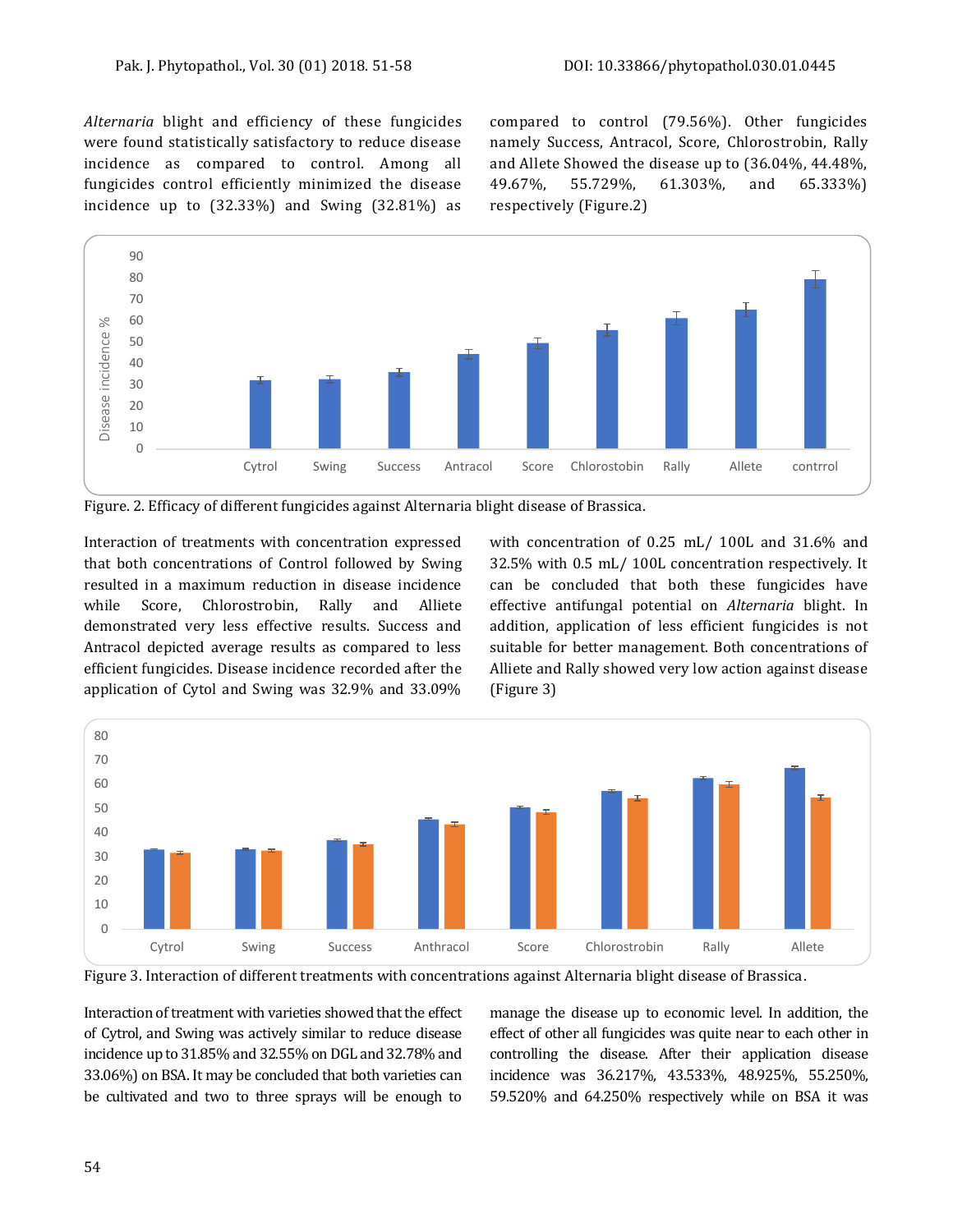*Alternaria* blight and efficiency of these fungicides were found statistically satisfactory to reduce disease incidence as compared to control. Among all fungicides control efficiently minimized the disease incidence up to (32.33%) and Swing (32.81%) as compared to control (79.56%). Other fungicides namely Success, Antracol, Score, Chlorostrobin, Rally and Allete Showed the disease up to (36.04%, 44.48%, 49.67%, 55.729%, 61.303%, and 65.333%) respectively (Figure.2)



Figure. 2. Efficacy of different fungicides against Alternaria blight disease of Brassica.

Interaction of treatments with concentration expressed that both concentrations of Control followed by Swing resulted in a maximum reduction in disease incidence while Score, Chlorostrobin, Rally and Alliete demonstrated very less effective results. Success and Antracol depicted average results as compared to less efficient fungicides. Disease incidence recorded after the application of Cytol and Swing was 32.9% and 33.09%

with concentration of 0.25 mL/ 100L and 31.6% and 32.5% with 0.5 mL/ 100L concentration respectively. It can be concluded that both these fungicides have effective antifungal potential on *Alternaria* blight. In addition, application of less efficient fungicides is not suitable for better management. Both concentrations of Alliete and Rally showed very low action against disease (Figure 3)



Figure 3. Interaction of different treatments with concentrations against Alternaria blight disease of Brassica.

Interaction of treatment with varieties showed that the effect of Cytrol, and Swing was actively similar to reduce disease incidence up to 31.85% and 32.55% on DGL and 32.78% and 33.06%) on BSA. It may be concluded that both varieties can be cultivated and two to three sprays will be enough to

manage the disease up to economic level. In addition, the effect of other all fungicides was quite near to each other in controlling the disease. After their application disease incidence was 36.217%, 43.533%, 48.925%, 55.250%, 59.520% and 64.250% respectively while on BSA it was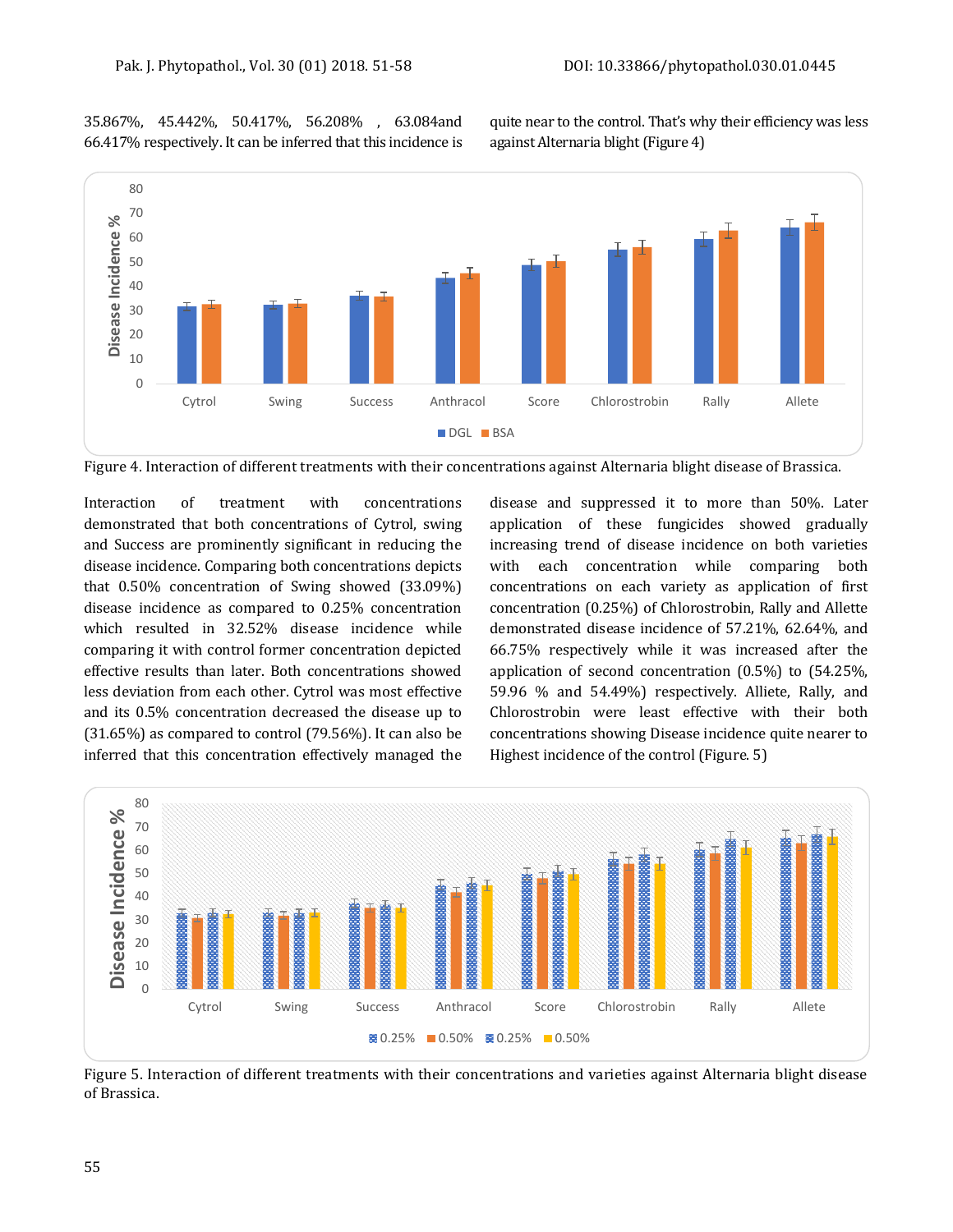35.867%, 45.442%, 50.417%, 56.208% , 63.084and 66.417% respectively. It can be inferred that this incidence is quite near to the control. That's why their efficiency was less against Alternaria blight (Figure 4)



Figure 4. Interaction of different treatments with their concentrations against Alternaria blight disease of Brassica.

Interaction of treatment with concentrations demonstrated that both concentrations of Cytrol, swing and Success are prominently significant in reducing the disease incidence. Comparing both concentrations depicts that 0.50% concentration of Swing showed (33.09%) disease incidence as compared to 0.25% concentration which resulted in 32.52% disease incidence while comparing it with control former concentration depicted effective results than later. Both concentrations showed less deviation from each other. Cytrol was most effective and its 0.5% concentration decreased the disease up to (31.65%) as compared to control (79.56%). It can also be inferred that this concentration effectively managed the

disease and suppressed it to more than 50%. Later application of these fungicides showed gradually increasing trend of disease incidence on both varieties with each concentration while comparing both concentrations on each variety as application of first concentration (0.25%) of Chlorostrobin, Rally and Allette demonstrated disease incidence of 57.21%, 62.64%, and 66.75% respectively while it was increased after the application of second concentration (0.5%) to (54.25%, 59.96 % and 54.49%) respectively. Alliete, Rally, and Chlorostrobin were least effective with their both concentrations showing Disease incidence quite nearer to Highest incidence of the control (Figure. 5)



Figure 5. Interaction of different treatments with their concentrations and varieties against Alternaria blight disease of Brassica.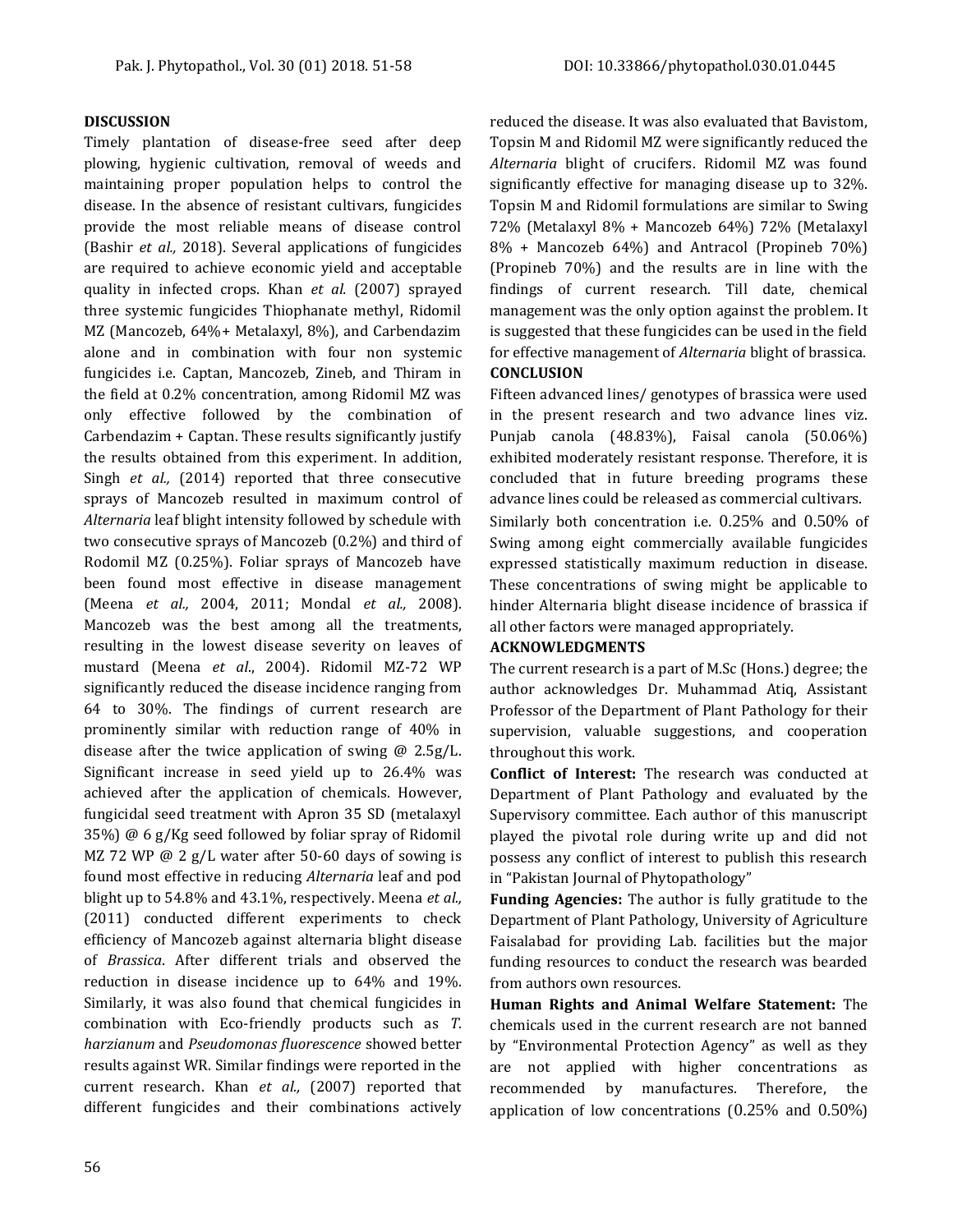#### **DISCUSSION**

Timely plantation of disease-free seed after deep plowing, hygienic cultivation, removal of weeds and maintaining proper population helps to control the disease. In the absence of resistant cultivars, fungicides provide the most reliable means of disease control (Bashir *et al.,* 2018). Several applications of fungicides are required to achieve economic yield and acceptable quality in infected crops. Khan *et al.* (2007) sprayed three systemic fungicides Thiophanate methyl, Ridomil MZ (Mancozeb, 64%+ Metalaxyl, 8%), and Carbendazim alone and in combination with four non systemic fungicides i.e. Captan, Mancozeb, Zineb, and Thiram in the field at 0.2% concentration, among Ridomil MZ was only effective followed by the combination of Carbendazim + Captan. These results significantly justify the results obtained from this experiment. In addition, Singh *et al.,* (2014) reported that three consecutive sprays of Mancozeb resulted in maximum control of *Alternaria* leaf blight intensity followed by schedule with two consecutive sprays of Mancozeb (0.2%) and third of Rodomil MZ (0.25%). Foliar sprays of Mancozeb have been found most effective in disease management (Meena *et al.,* 2004, 2011; Mondal *et al.,* 2008). Mancozeb was the best among all the treatments, resulting in the lowest disease severity on leaves of mustard (Meena *et al*., 2004). Ridomil MZ-72 WP significantly reduced the disease incidence ranging from 64 to 30%. The findings of current research are prominently similar with reduction range of 40% in disease after the twice application of swing @ 2.5g/L. Significant increase in seed yield up to 26.4% was achieved after the application of chemicals. However, fungicidal seed treatment with Apron 35 SD (metalaxyl 35%) @ 6 g/Kg seed followed by foliar spray of Ridomil MZ 72 WP @ 2 g/L water after 50-60 days of sowing is found most effective in reducing *Alternaria* leaf and pod blight up to 54.8% and 43.1%, respectively. Meena *et al.,* (2011) conducted different experiments to check efficiency of Mancozeb against alternaria blight disease of *Brassica*. After different trials and observed the reduction in disease incidence up to 64% and 19%. Similarly, it was also found that chemical fungicides in combination with Eco-friendly products such as *T. harzianum* and *Pseudomonas fluorescence* showed better results against WR. Similar findings were reported in the current research. Khan *et al.,* (2007) reported that different fungicides and their combinations actively

reduced the disease. It was also evaluated that Bavistom, Topsin M and Ridomil MZ were significantly reduced the *Alternaria* blight of crucifers. Ridomil MZ was found significantly effective for managing disease up to 32%. Topsin M and Ridomil formulations are similar to Swing 72% (Metalaxyl 8% + Mancozeb 64%) 72% (Metalaxyl 8% + Mancozeb 64%) and Antracol (Propineb 70%) (Propineb 70%) and the results are in line with the findings of current research. Till date, chemical management was the only option against the problem. It is suggested that these fungicides can be used in the field for effective management of *Alternaria* blight of brassica. **CONCLUSION**

Fifteen advanced lines/ genotypes of brassica were used in the present research and two advance lines viz. Punjab canola (48.83%), Faisal canola (50.06%) exhibited moderately resistant response. Therefore, it is concluded that in future breeding programs these advance lines could be released as commercial cultivars. Similarly both concentration i.e. 0.25% and 0.50% of Swing among eight commercially available fungicides expressed statistically maximum reduction in disease. These concentrations of swing might be applicable to hinder Alternaria blight disease incidence of brassica if all other factors were managed appropriately.

#### **ACKNOWLEDGMENTS**

The current research is a part of M.Sc (Hons.) degree; the author acknowledges Dr. Muhammad Atiq, Assistant Professor of the Department of Plant Pathology for their supervision, valuable suggestions, and cooperation throughout this work.

**Conflict of Interest:** The research was conducted at Department of Plant Pathology and evaluated by the Supervisory committee. Each author of this manuscript played the pivotal role during write up and did not possess any conflict of interest to publish this research in "Pakistan Journal of Phytopathology"

**Funding Agencies:** The author is fully gratitude to the Department of Plant Pathology, University of Agriculture Faisalabad for providing Lab. facilities but the major funding resources to conduct the research was bearded from authors own resources.

**Human Rights and Animal Welfare Statement:** The chemicals used in the current research are not banned by "Environmental Protection Agency" as well as they are not applied with higher concentrations as recommended by manufactures. Therefore, the application of low concentrations (0.25% and 0.50%)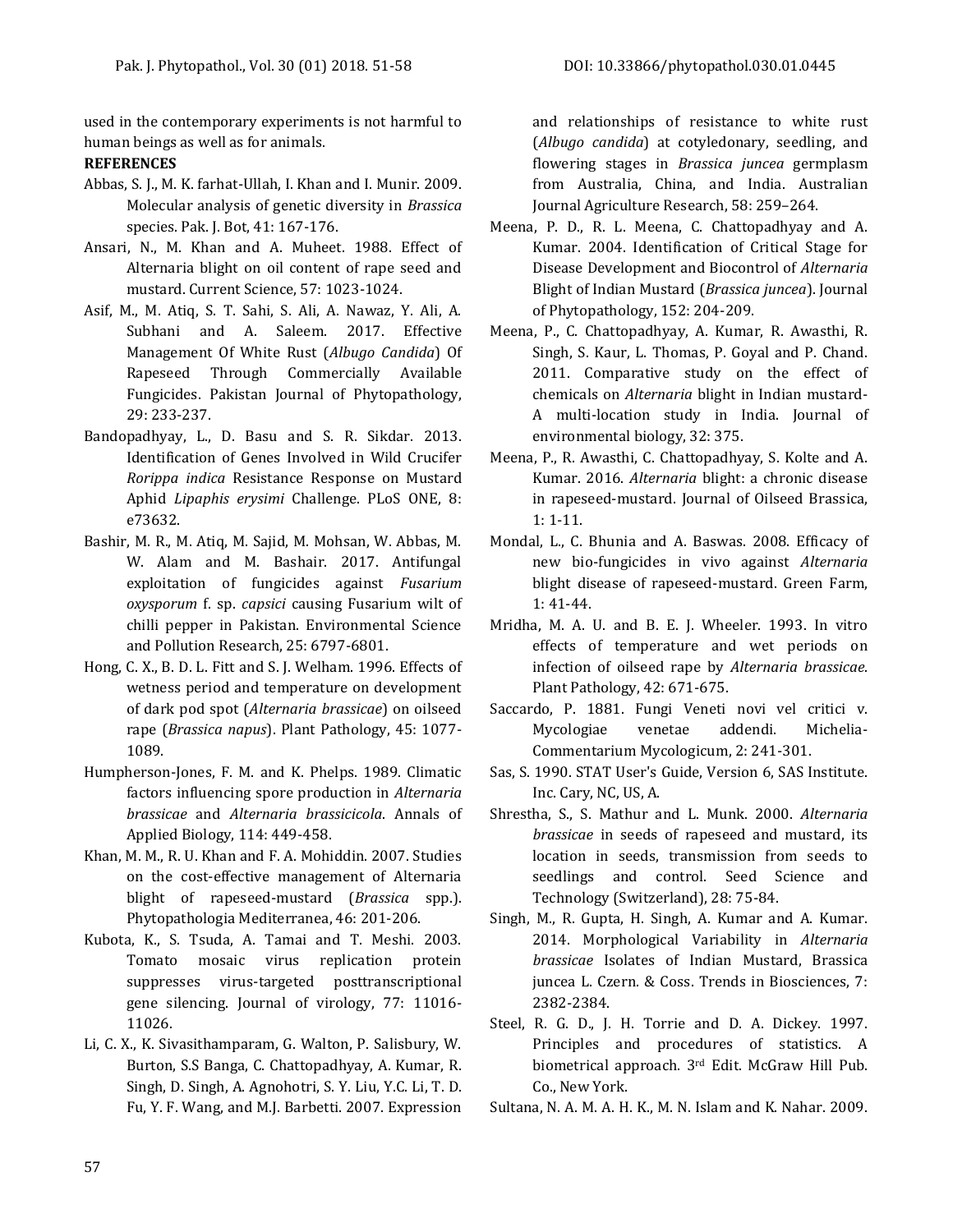used in the contemporary experiments is not harmful to human beings as well as for animals.

#### **REFERENCES**

- Abbas, S. J., M. K. farhat-Ullah, I. Khan and I. Munir. 2009. Molecular analysis of genetic diversity in *Brassica* species. Pak. J. Bot, 41: 167-176.
- Ansari, N., M. Khan and A. Muheet. 1988. Effect of Alternaria blight on oil content of rape seed and mustard. Current Science, 57: 1023-1024.
- Asif, M., M. Atiq, S. T. Sahi, S. Ali, A. Nawaz, Y. Ali, A. Subhani and A. Saleem. 2017. Effective Management Of White Rust (*Albugo Candida*) Of Rapeseed Through Commercially Available Fungicides. Pakistan Journal of Phytopathology, 29: 233-237.
- Bandopadhyay, L., D. Basu and S. R. Sikdar. 2013. Identification of Genes Involved in Wild Crucifer *Rorippa indica* Resistance Response on Mustard Aphid *Lipaphis erysimi* Challenge. PLoS ONE, 8: e73632.
- Bashir, M. R., M. Atiq, M. Sajid, M. Mohsan, W. Abbas, M. W. Alam and M. Bashair. 2017. Antifungal exploitation of fungicides against *Fusarium oxysporum* f. sp. *capsici* causing Fusarium wilt of chilli pepper in Pakistan. Environmental Science and Pollution Research, 25: 6797-6801.
- Hong, C. X., B. D. L. Fitt and S. J. Welham. 1996. Effects of wetness period and temperature on development of dark pod spot (*Alternaria brassicae*) on oilseed rape (*Brassica napus*). Plant Pathology, 45: 1077- 1089.
- Humpherson-Jones, F. M. and K. Phelps. 1989. Climatic factors influencing spore production in *Alternaria brassicae* and *Alternaria brassicicola*. Annals of Applied Biology, 114: 449-458.
- Khan, M. M., R. U. Khan and F. A. Mohiddin. 2007. Studies on the cost-effective management of Alternaria blight of rapeseed-mustard (*Brassica* spp.). Phytopathologia Mediterranea, 46: 201-206.
- Kubota, K., S. Tsuda, A. Tamai and T. Meshi. 2003. Tomato mosaic virus replication protein suppresses virus-targeted posttranscriptional gene silencing. Journal of virology, 77: 11016- 11026.
- Li, C. X., K. Sivasithamparam, G. Walton, P. Salisbury, W. Burton, S.S Banga, C. Chattopadhyay, A. Kumar, R. Singh, D. Singh, A. Agnohotri, S. Y. Liu, Y.C. Li, T. D. Fu, Y. F. Wang, and M.J. Barbetti. 2007. Expression

and relationships of resistance to white rust (*Albugo candida*) at cotyledonary, seedling, and flowering stages in *Brassica juncea* germplasm from Australia, China, and India. Australian Journal Agriculture Research, 58: 259–264.

- Meena, P. D., R. L. Meena, C. Chattopadhyay and A. Kumar. 2004. Identification of Critical Stage for Disease Development and Biocontrol of *Alternaria* Blight of Indian Mustard (*Brassica juncea*). Journal of Phytopathology, 152: 204-209.
- Meena, P., C. Chattopadhyay, A. Kumar, R. Awasthi, R. Singh, S. Kaur, L. Thomas, P. Goyal and P. Chand. 2011. Comparative study on the effect of chemicals on *Alternaria* blight in Indian mustard-A multi-location study in India. Journal of environmental biology, 32: 375.
- Meena, P., R. Awasthi, C. Chattopadhyay, S. Kolte and A. Kumar. 2016. *Alternaria* blight: a chronic disease in rapeseed-mustard. Journal of Oilseed Brassica, 1: 1-11.
- Mondal, L., C. Bhunia and A. Baswas. 2008. Efficacy of new bio-fungicides in vivo against *Alternaria* blight disease of rapeseed-mustard. Green Farm, 1: 41-44.
- Mridha, M. A. U. and B. E. J. Wheeler. 1993. In vitro effects of temperature and wet periods on infection of oilseed rape by *Alternaria brassicae*. Plant Pathology, 42: 671-675.
- Saccardo, P. 1881. Fungi Veneti novi vel critici v. Mycologiae venetae addendi. Michelia-Commentarium Mycologicum, 2: 241-301.
- Sas, S. 1990. STAT User's Guide, Version 6, SAS Institute. Inc. Cary, NC, US, A.
- Shrestha, S., S. Mathur and L. Munk. 2000. *Alternaria brassicae* in seeds of rapeseed and mustard, its location in seeds, transmission from seeds to seedlings and control. Seed Science and Technology (Switzerland), 28: 75-84.
- Singh, M., R. Gupta, H. Singh, A. Kumar and A. Kumar. 2014. Morphological Variability in *Alternaria brassicae* Isolates of Indian Mustard, Brassica juncea L. Czern. & Coss. Trends in Biosciences, 7: 2382-2384.
- Steel, R. G. D., J. H. Torrie and D. A. Dickey. 1997. Principles and procedures of statistics. A biometrical approach. 3rd Edit. McGraw Hill Pub. Co., New York.
- Sultana, N. A. M. A. H. K., M. N. Islam and K. Nahar. 2009.